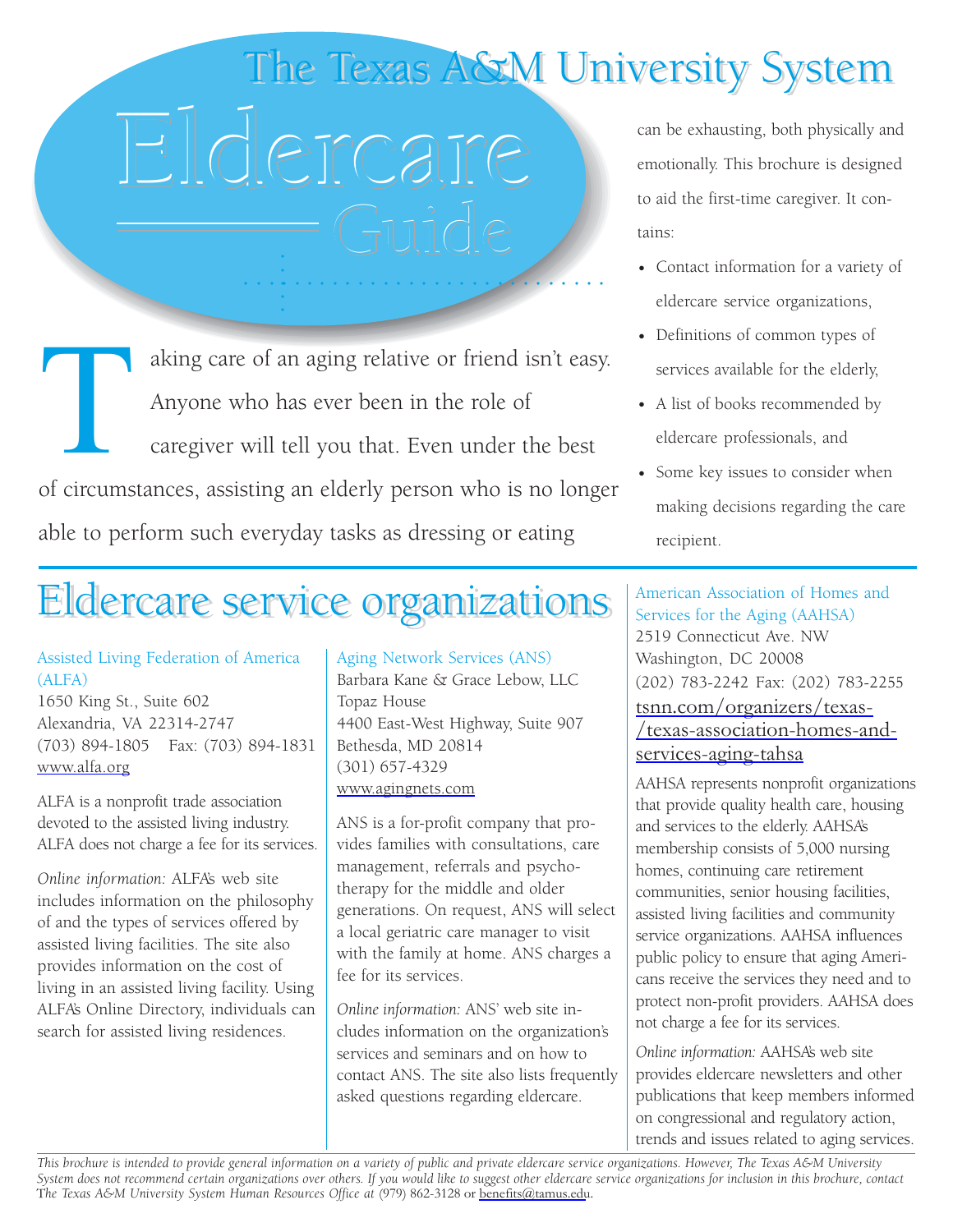## The Texas A&M University System

# Eldercare Eldercare Eldercare can be exhausting, both physically and

○○○○○○○○○○○○○○○○○○○○○○○○○○○○○ ○○○○○

aking care of an aging relative or friend isn't easy. Anyone who has ever been in the role of caregiver will tell you that. Even under the best of circumstances, assisting an elderly person who is no longer able to perform such everyday tasks as dressing or eating

### Eldercare service organizations Eldercare service organizations

#### Assisted Living Federation of America (ALFA)

1650 King St., Suite 602 Alexandria, VA 22314-2747 (703) 894-1805 Fax: (703) 894-1831 www.alfa.org

ALFA is a nonprofit trade association devoted to the assisted living industry. ALFA does not charge a fee for its services.

*Online information:* ALFA's web site includes information on the philosophy of and the types of services offered by assisted living facilities. The site also provides information on the cost of living in an assisted living facility. Using ALFA's Online Directory, individuals can search for assisted living residences.

Aging Network Services (ANS) Barbara Kane & Grace Lebow, LLC Topaz House 4400 East-West Highway, Suite 907 Bethesda, MD 20814 (301) 657-4329 www.agingnets.com

ANS is a for-profit company that provides families with consultations, care management, referrals and psychotherapy for the middle and older generations. On request, ANS will select a local geriatric care manager to visit with the family at home. ANS charges a fee for its services.

*Online information:* ANS' web site includes information on the organization's services and seminars and on how to contact ANS. The site also lists frequently asked questions regarding eldercare.

emotionally. This brochure is designed to aid the first-time caregiver. It contains:

- Contact information for a variety of eldercare service organizations,
- Definitions of common types of services available for the elderly,
- A list of books recommended by eldercare professionals, and
- Some key issues to consider when making decisions regarding the care recipient.

American Association of Homes and Services for the Aging (AAHSA) 2519 Connecticut Ave. NW Washington, DC 20008 (202) 783-2242 Fax: (202) 783-2255 tsnn.com/organizers/texas- [/texas-association-homes-and](tsnn.com/organizers/texas-/texas-association-homes-and-services-aging-tahsa)services-aging-tahsa

AAHSA represents nonprofit organizations that provide quality health care, housing and services to the elderly. AAHSA's membership consists of 5,000 nursing homes, continuing care retirement communities, senior housing facilities, assisted living facilities and community service organizations. AAHSA influences public policy to ensure that aging Americans receive the services they need and to protect non-profit providers. AAHSA does not charge a fee for its services.

*Online information:* AAHSA's web site provides eldercare newsletters and other publications that keep members informed on congressional and regulatory action, trends and issues related to aging services.

*This brochure is intended to provide general information on a variety of public and private eldercare service organizations. However, The Texas A&M University System does not recommend certain organizations over others. If you would like to suggest other eldercare service organizations for inclusion in this brochure, contact* The Texas A&M University System Human Resources Office at (979) 862-3128 o[r benefits@tamus.edu.](mail to:benefits@tamus.edu)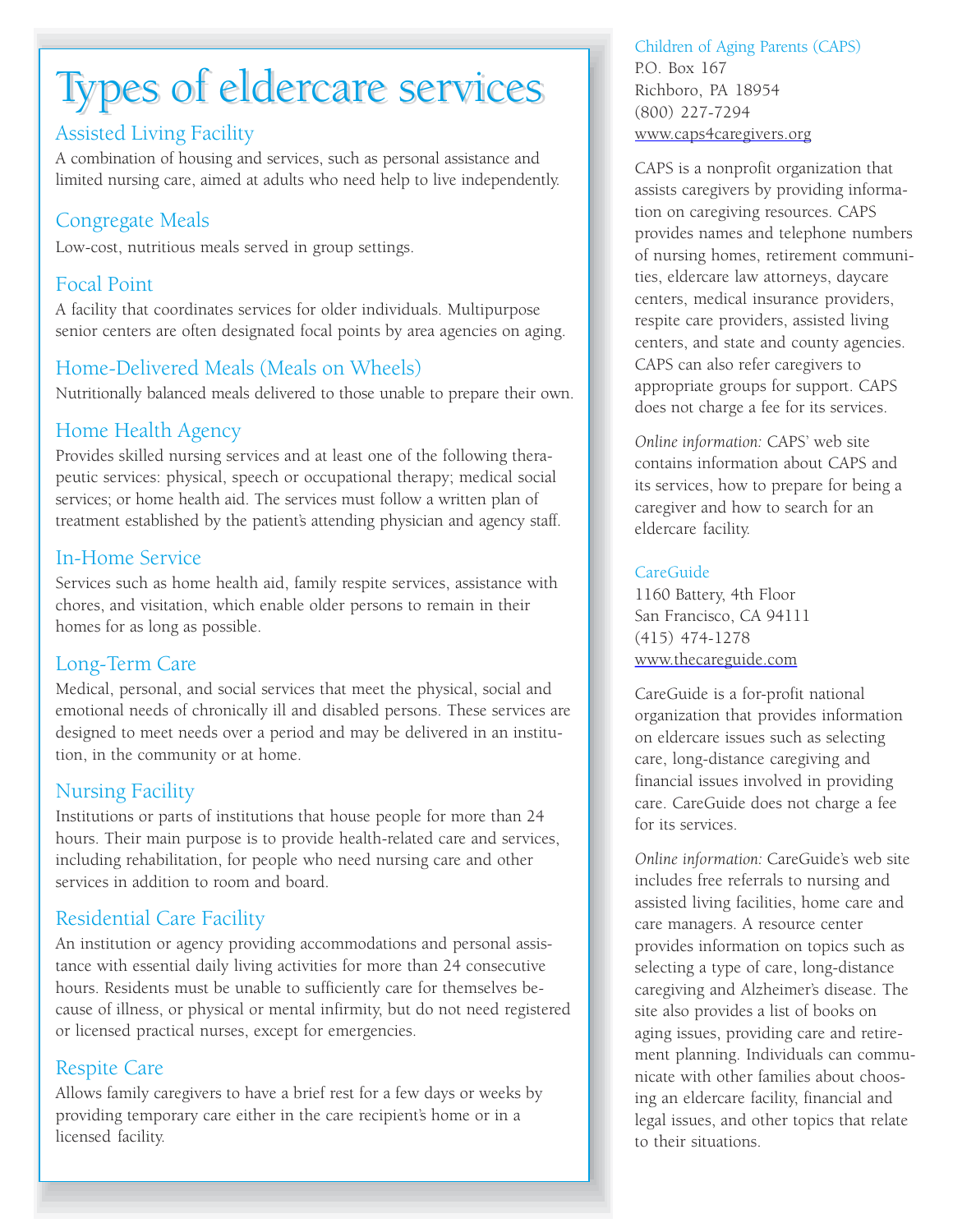## Types of eldercare services

#### Assisted Living Facility

A combination of housing and services, such as personal assistance and limited nursing care, aimed at adults who need help to live independently.

#### Congregate Meals

Low-cost, nutritious meals served in group settings.

#### Focal Point

A facility that coordinates services for older individuals. Multipurpose senior centers are often designated focal points by area agencies on aging.

#### Home-Delivered Meals (Meals on Wheels)

Nutritionally balanced meals delivered to those unable to prepare their own.

#### Home Health Agency

Provides skilled nursing services and at least one of the following therapeutic services: physical, speech or occupational therapy; medical social services; or home health aid. The services must follow a written plan of treatment established by the patient's attending physician and agency staff.

#### In-Home Service

Services such as home health aid, family respite services, assistance with chores, and visitation, which enable older persons to remain in their homes for as long as possible.

#### Long-Term Care

Medical, personal, and social services that meet the physical, social and emotional needs of chronically ill and disabled persons. These services are designed to meet needs over a period and may be delivered in an institution, in the community or at home.

#### Nursing Facility

Institutions or parts of institutions that house people for more than 24 hours. Their main purpose is to provide health-related care and services, including rehabilitation, for people who need nursing care and other services in addition to room and board.

#### Residential Care Facility

An institution or agency providing accommodations and personal assistance with essential daily living activities for more than 24 consecutive hours. Residents must be unable to sufficiently care for themselves because of illness, or physical or mental infirmity, but do not need registered or licensed practical nurses, except for emergencies.

#### Respite Care

Allows family caregivers to have a brief rest for a few days or weeks by providing temporary care either in the care recipient's home or in a licensed facility.

Children of Aging Parents (CAPS) P.O. Box 167 Richboro, PA 18954 (800) 227-7294 www.caps4caregivers.org

CAPS is a nonprofit organization that assists caregivers by providing information on caregiving resources. CAPS provides names and telephone numbers of nursing homes, retirement communities, eldercare law attorneys, daycare centers, medical insurance providers, respite care providers, assisted living centers, and state and county agencies. CAPS can also refer caregivers to appropriate groups for support. CAPS does not charge a fee for its services.

*Online information:* CAPS' web site contains information about CAPS and its services, how to prepare for being a caregiver and how to search for an eldercare facility.

#### CareGuide

1160 Battery, 4th Floor San Francisco, CA 94111 (415) 474-1278 www.thecareguide.com

CareGuide is a for-profit national organization that provides information on eldercare issues such as selecting care, long-distance caregiving and financial issues involved in providing care. CareGuide does not charge a fee for its services.

*Online information:* CareGuide's web site includes free referrals to nursing and assisted living facilities, home care and care managers. A resource center provides information on topics such as selecting a type of care, long-distance caregiving and Alzheimer's disease. The site also provides a list of books on aging issues, providing care and retirement planning. Individuals can communicate with other families about choosing an eldercare facility, financial and legal issues, and other topics that relate to their situations.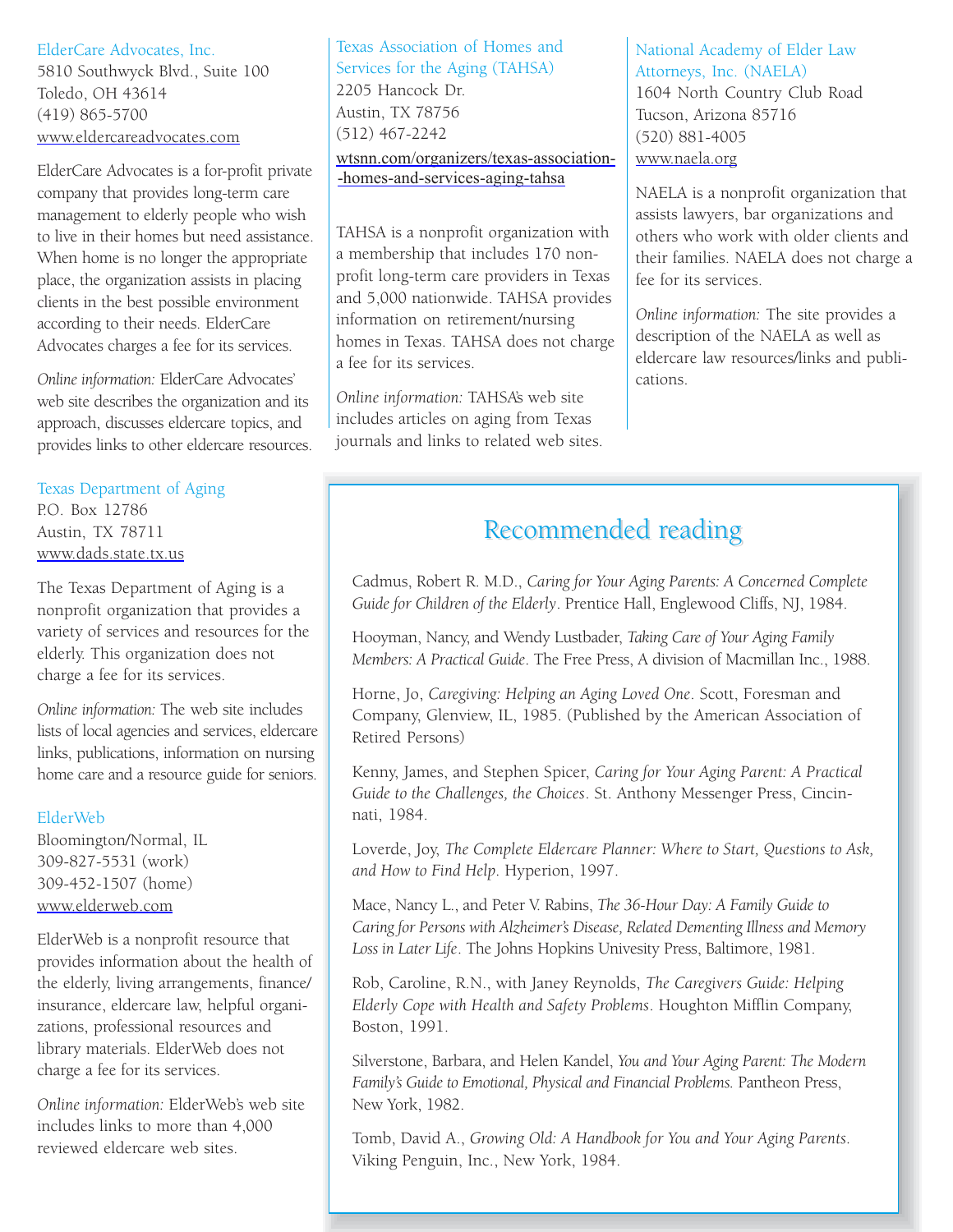#### ElderCare Advocates, Inc.

5810 Southwyck Blvd., Suite 100 Toledo, OH 43614 (419) 865-5700 www.eldercareadvocates.com

ElderCare Advocates is a for-profit private company that provides long-term care management to elderly people who wish to live in their homes but need assistance. When home is no longer the appropriate place, the organization assists in placing clients in the best possible environment according to their needs. ElderCare Advocates charges a fee for its services.

*Online information:* ElderCare Advocates' web site describes the organization and its approach, discusses eldercare topics, and provides links to other eldercare resources.

Texas Department of Aging P.O. Box 12786 Austin, TX 78711 www.dads.state.tx.us

The Texas Department of Aging is a nonprofit organization that provides a variety of services and resources for the elderly. This organization does not charge a fee for its services.

*Online information:* The web site includes lists of local agencies and services, eldercare links, publications, information on nursing home care and a resource guide for seniors.

#### ElderWeb

Bloomington/Normal, IL 309-827-5531 (work) 309-452-1507 (home) www.elderweb.com

ElderWeb is a nonprofit resource that provides information about the health of the elderly, living arrangements, finance/ insurance, eldercare law, helpful organizations, professional resources and library materials. ElderWeb does not charge a fee for its services.

*Online information:* ElderWeb's web site includes links to more than 4,000 reviewed eldercare web sites.

Texas Association of Homes and Services for the Aging (TAHSA) 2205 Hancock Dr. Austin, TX 78756 (512) 467-2242 [wtsnn.com/organizers/texas-association-](tsnn.com/organizers/texas-/texas-association-homes-and-services-aging-tahsa) -homes-and-services-aging-tahsa

TAHSA is a nonprofit organization with a membership that includes 170 nonprofit long-term care providers in Texas and 5,000 nationwide. TAHSA provides information on retirement/nursing homes in Texas. TAHSA does not charge a fee for its services.

*Online information:* TAHSA's web site includes articles on aging from Texas journals and links to related web sites. National Academy of Elder Law Attorneys, Inc. (NAELA) 1604 North Country Club Road Tucson, Arizona 85716 (520) 881-4005 www.naela.org

NAELA is a nonprofit organization that assists lawyers, bar organizations and others who work with older clients and their families. NAELA does not charge a fee for its services.

*Online information:* The site provides a description of the NAELA as well as eldercare law resources/links and publications.

#### Recommended reading

Cadmus, Robert R. M.D., *Caring for Your Aging Parents: A Concerned Complete Guide for Children of the Elderly*. Prentice Hall, Englewood Cliffs, NJ, 1984.

Hooyman, Nancy, and Wendy Lustbader, *Taking Care of Your Aging Family Members: A Practical Guide*. The Free Press, A division of Macmillan Inc., 1988.

Horne, Jo, *Caregiving: Helping an Aging Loved One*. Scott, Foresman and Company, Glenview, IL, 1985. (Published by the American Association of Retired Persons)

Kenny, James, and Stephen Spicer, *Caring for Your Aging Parent: A Practical Guide to the Challenges, the Choices*. St. Anthony Messenger Press, Cincinnati, 1984.

Loverde, Joy, *The Complete Eldercare Planner: Where to Start, Questions to Ask, and How to Find Help*. Hyperion, 1997.

Mace, Nancy L., and Peter V. Rabins, *The 36-Hour Day: A Family Guide to Caring for Persons with Alzheimer's Disease, Related Dementing Illness and Memory Loss in Later Life*. The Johns Hopkins Univesity Press, Baltimore, 1981.

Rob, Caroline, R.N., with Janey Reynolds, *The Caregivers Guide: Helping Elderly Cope with Health and Safety Problems*. Houghton Mifflin Company, Boston, 1991.

Silverstone, Barbara, and Helen Kandel, *You and Your Aging Parent: The Modern Family's Guide to Emotional, Physical and Financial Problems*. Pantheon Press, New York, 1982.

Tomb, David A., *Growing Old: A Handbook for You and Your Aging Parents*. Viking Penguin, Inc., New York, 1984.